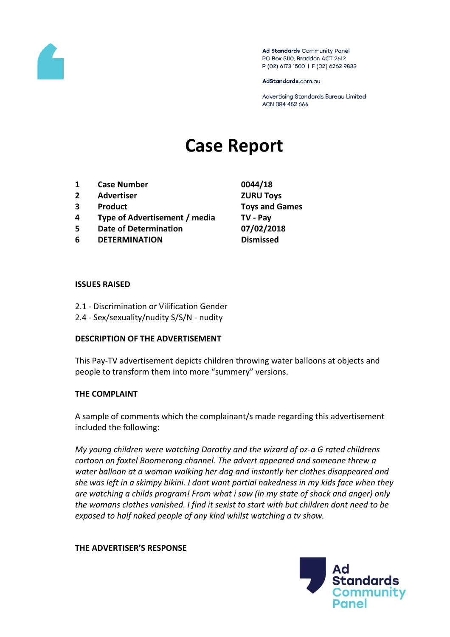

Ad Standards Community Panel PO Box 5110, Braddon ACT 2612 P (02) 6173 1500 | F (02) 6262 9833

AdStandards.com.au

Advertising Standards Bureau Limited ACN 084 452 666

# **Case Report**

- **1 Case Number 0044/18**
- **2 Advertiser ZURU Toys**
- 
- **4 Type of Advertisement / media TV - Pay**
- **5 Date of Determination 07/02/2018**
- **6 DETERMINATION Dismissed**

**3 Product Toys and Games**

### **ISSUES RAISED**

- 2.1 Discrimination or Vilification Gender
- 2.4 Sex/sexuality/nudity S/S/N nudity

## **DESCRIPTION OF THE ADVERTISEMENT**

This Pay-TV advertisement depicts children throwing water balloons at objects and people to transform them into more "summery" versions.

## **THE COMPLAINT**

A sample of comments which the complainant/s made regarding this advertisement included the following:

*My young children were watching Dorothy and the wizard of oz-a G rated childrens cartoon on foxtel Boomerang channel. The advert appeared and someone threw a water balloon at a woman walking her dog and instantly her clothes disappeared and she was left in a skimpy bikini. I dont want partial nakedness in my kids face when they are watching a childs program! From what i saw (in my state of shock and anger) only the womans clothes vanished. I find it sexist to start with but children dont need to be exposed to half naked people of any kind whilst watching a tv show.*

## **THE ADVERTISER'S RESPONSE**

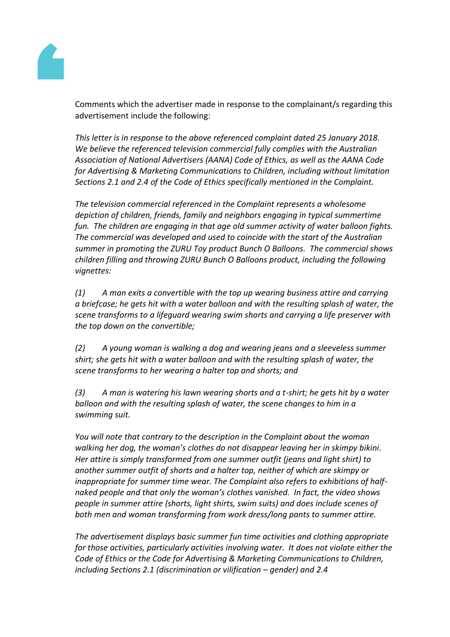

Comments which the advertiser made in response to the complainant/s regarding this advertisement include the following:

*This letter is in response to the above referenced complaint dated 25 January 2018. We believe the referenced television commercial fully complies with the Australian Association of National Advertisers (AANA) Code of Ethics, as well as the AANA Code for Advertising & Marketing Communications to Children, including without limitation Sections 2.1 and 2.4 of the Code of Ethics specifically mentioned in the Complaint.*

*The television commercial referenced in the Complaint represents a wholesome depiction of children, friends, family and neighbors engaging in typical summertime fun. The children are engaging in that age old summer activity of water balloon fights. The commercial was developed and used to coincide with the start of the Australian summer in promoting the ZURU Toy product Bunch O Balloons. The commercial shows children filling and throwing ZURU Bunch O Balloons product, including the following vignettes:*

*(1) A man exits a convertible with the top up wearing business attire and carrying a briefcase; he gets hit with a water balloon and with the resulting splash of water, the scene transforms to a lifeguard wearing swim shorts and carrying a life preserver with the top down on the convertible;*

*(2) A young woman is walking a dog and wearing jeans and a sleeveless summer shirt; she gets hit with a water balloon and with the resulting splash of water, the scene transforms to her wearing a halter top and shorts; and*

*(3) A man is watering his lawn wearing shorts and a t-shirt; he gets hit by a water balloon and with the resulting splash of water, the scene changes to him in a swimming suit.*

*You will note that contrary to the description in the Complaint about the woman walking her dog, the woman's clothes do not disappear leaving her in skimpy bikini. Her attire is simply transformed from one summer outfit (jeans and light shirt) to another summer outfit of shorts and a halter top, neither of which are skimpy or inappropriate for summer time wear. The Complaint also refers to exhibitions of halfnaked people and that only the woman's clothes vanished. In fact, the video shows people in summer attire (shorts, light shirts, swim suits) and does include scenes of both men and woman transforming from work dress/long pants to summer attire.*

*The advertisement displays basic summer fun time activities and clothing appropriate for those activities, particularly activities involving water. It does not violate either the Code of Ethics or the Code for Advertising & Marketing Communications to Children, including Sections 2.1 (discrimination or vilification – gender) and 2.4*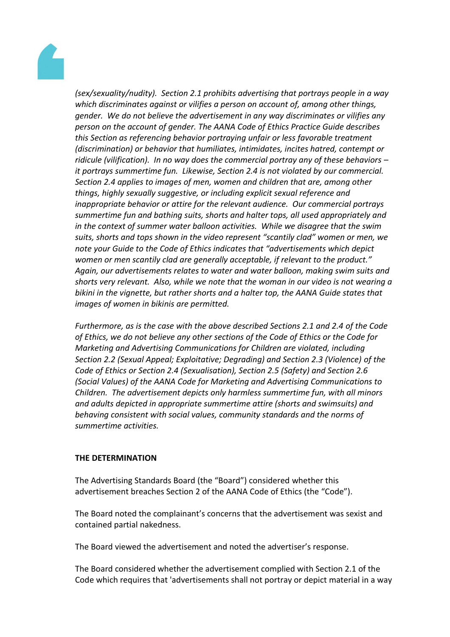

*(sex/sexuality/nudity). Section 2.1 prohibits advertising that portrays people in a way which discriminates against or vilifies a person on account of, among other things, gender. We do not believe the advertisement in any way discriminates or vilifies any person on the account of gender. The AANA Code of Ethics Practice Guide describes this Section as referencing behavior portraying unfair or less favorable treatment (discrimination) or behavior that humiliates, intimidates, incites hatred, contempt or ridicule (vilification). In no way does the commercial portray any of these behaviors – it portrays summertime fun. Likewise, Section 2.4 is not violated by our commercial. Section 2.4 applies to images of men, women and children that are, among other things, highly sexually suggestive, or including explicit sexual reference and inappropriate behavior or attire for the relevant audience. Our commercial portrays summertime fun and bathing suits, shorts and halter tops, all used appropriately and in the context of summer water balloon activities. While we disagree that the swim suits, shorts and tops shown in the video represent "scantily clad" women or men, we note your Guide to the Code of Ethics indicates that "advertisements which depict women or men scantily clad are generally acceptable, if relevant to the product." Again, our advertisements relates to water and water balloon, making swim suits and shorts very relevant. Also, while we note that the woman in our video is not wearing a bikini in the vignette, but rather shorts and a halter top, the AANA Guide states that images of women in bikinis are permitted.*

*Furthermore, as is the case with the above described Sections 2.1 and 2.4 of the Code of Ethics, we do not believe any other sections of the Code of Ethics or the Code for Marketing and Advertising Communications for Children are violated, including Section 2.2 (Sexual Appeal; Exploitative; Degrading) and Section 2.3 (Violence) of the Code of Ethics or Section 2.4 (Sexualisation), Section 2.5 (Safety) and Section 2.6 (Social Values) of the AANA Code for Marketing and Advertising Communications to Children. The advertisement depicts only harmless summertime fun, with all minors and adults depicted in appropriate summertime attire (shorts and swimsuits) and behaving consistent with social values, community standards and the norms of summertime activities.*

## **THE DETERMINATION**

The Advertising Standards Board (the "Board") considered whether this advertisement breaches Section 2 of the AANA Code of Ethics (the "Code").

The Board noted the complainant's concerns that the advertisement was sexist and contained partial nakedness.

The Board viewed the advertisement and noted the advertiser's response.

The Board considered whether the advertisement complied with Section 2.1 of the Code which requires that 'advertisements shall not portray or depict material in a way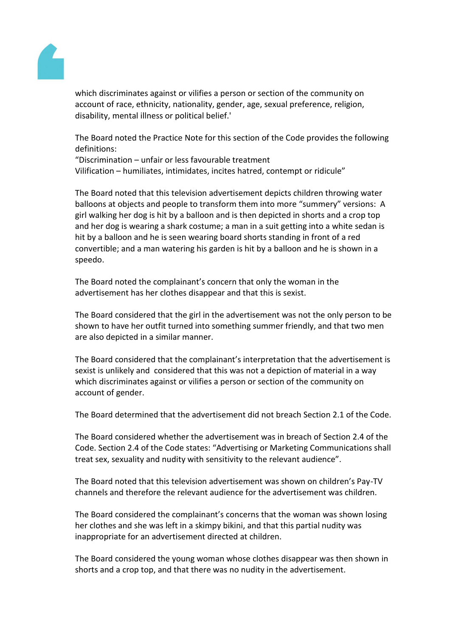

which discriminates against or vilifies a person or section of the community on account of race, ethnicity, nationality, gender, age, sexual preference, religion, disability, mental illness or political belief.'

The Board noted the Practice Note for this section of the Code provides the following definitions:

"Discrimination – unfair or less favourable treatment Vilification – humiliates, intimidates, incites hatred, contempt or ridicule"

The Board noted that this television advertisement depicts children throwing water balloons at objects and people to transform them into more "summery" versions: A girl walking her dog is hit by a balloon and is then depicted in shorts and a crop top and her dog is wearing a shark costume; a man in a suit getting into a white sedan is hit by a balloon and he is seen wearing board shorts standing in front of a red convertible; and a man watering his garden is hit by a balloon and he is shown in a speedo.

The Board noted the complainant's concern that only the woman in the advertisement has her clothes disappear and that this is sexist.

The Board considered that the girl in the advertisement was not the only person to be shown to have her outfit turned into something summer friendly, and that two men are also depicted in a similar manner.

The Board considered that the complainant's interpretation that the advertisement is sexist is unlikely and considered that this was not a depiction of material in a way which discriminates against or vilifies a person or section of the community on account of gender.

The Board determined that the advertisement did not breach Section 2.1 of the Code.

The Board considered whether the advertisement was in breach of Section 2.4 of the Code. Section 2.4 of the Code states: "Advertising or Marketing Communications shall treat sex, sexuality and nudity with sensitivity to the relevant audience".

The Board noted that this television advertisement was shown on children's Pay-TV channels and therefore the relevant audience for the advertisement was children.

The Board considered the complainant's concerns that the woman was shown losing her clothes and she was left in a skimpy bikini, and that this partial nudity was inappropriate for an advertisement directed at children.

The Board considered the young woman whose clothes disappear was then shown in shorts and a crop top, and that there was no nudity in the advertisement.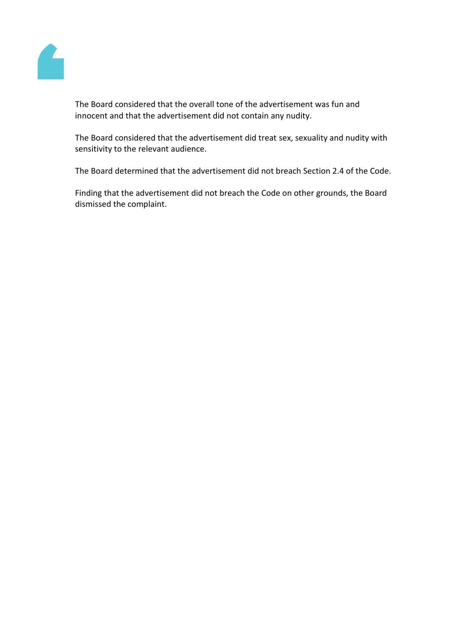

The Board considered that the overall tone of the advertisement was fun and innocent and that the advertisement did not contain any nudity.

The Board considered that the advertisement did treat sex, sexuality and nudity with sensitivity to the relevant audience.

The Board determined that the advertisement did not breach Section 2.4 of the Code.

Finding that the advertisement did not breach the Code on other grounds, the Board dismissed the complaint.